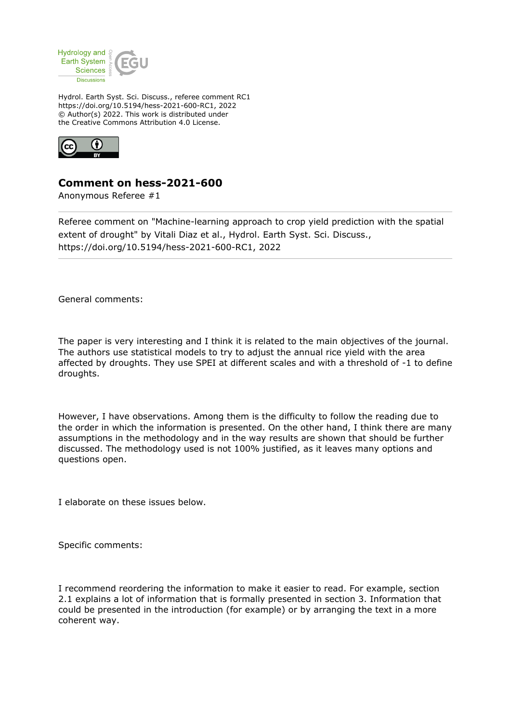

Hydrol. Earth Syst. Sci. Discuss., referee comment RC1 https://doi.org/10.5194/hess-2021-600-RC1, 2022 © Author(s) 2022. This work is distributed under the Creative Commons Attribution 4.0 License.



## **Comment on hess-2021-600**

Anonymous Referee #1

Referee comment on "Machine-learning approach to crop yield prediction with the spatial extent of drought" by Vitali Diaz et al., Hydrol. Earth Syst. Sci. Discuss., https://doi.org/10.5194/hess-2021-600-RC1, 2022

General comments:

The paper is very interesting and I think it is related to the main objectives of the journal. The authors use statistical models to try to adjust the annual rice yield with the area affected by droughts. They use SPEI at different scales and with a threshold of -1 to define droughts.

However, I have observations. Among them is the difficulty to follow the reading due to the order in which the information is presented. On the other hand, I think there are many assumptions in the methodology and in the way results are shown that should be further discussed. The methodology used is not 100% justified, as it leaves many options and questions open.

I elaborate on these issues below.

Specific comments:

I recommend reordering the information to make it easier to read. For example, section 2.1 explains a lot of information that is formally presented in section 3. Information that could be presented in the introduction (for example) or by arranging the text in a more coherent way.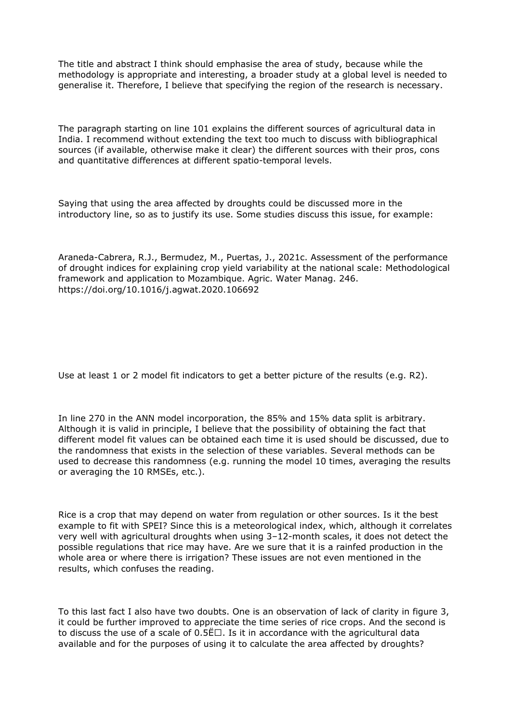The title and abstract I think should emphasise the area of study, because while the methodology is appropriate and interesting, a broader study at a global level is needed to generalise it. Therefore, I believe that specifying the region of the research is necessary.

The paragraph starting on line 101 explains the different sources of agricultural data in India. I recommend without extending the text too much to discuss with bibliographical sources (if available, otherwise make it clear) the different sources with their pros, cons and quantitative differences at different spatio-temporal levels.

Saying that using the area affected by droughts could be discussed more in the introductory line, so as to justify its use. Some studies discuss this issue, for example:

Araneda-Cabrera, R.J., Bermudez, M., Puertas, J., 2021c. Assessment of the performance of drought indices for explaining crop yield variability at the national scale: Methodological framework and application to Mozambique. Agric. Water Manag. 246. https://doi.org/10.1016/j.agwat.2020.106692

Use at least 1 or 2 model fit indicators to get a better picture of the results (e.g. R2).

In line 270 in the ANN model incorporation, the 85% and 15% data split is arbitrary. Although it is valid in principle, I believe that the possibility of obtaining the fact that different model fit values can be obtained each time it is used should be discussed, due to the randomness that exists in the selection of these variables. Several methods can be used to decrease this randomness (e.g. running the model 10 times, averaging the results or averaging the 10 RMSEs, etc.).

Rice is a crop that may depend on water from regulation or other sources. Is it the best example to fit with SPEI? Since this is a meteorological index, which, although it correlates very well with agricultural droughts when using 3–12-month scales, it does not detect the possible regulations that rice may have. Are we sure that it is a rainfed production in the whole area or where there is irrigation? These issues are not even mentioned in the results, which confuses the reading.

To this last fact I also have two doubts. One is an observation of lack of clarity in figure 3, it could be further improved to appreciate the time series of rice crops. And the second is to discuss the use of a scale of  $0.5E\Box$ . Is it in accordance with the agricultural data available and for the purposes of using it to calculate the area affected by droughts?